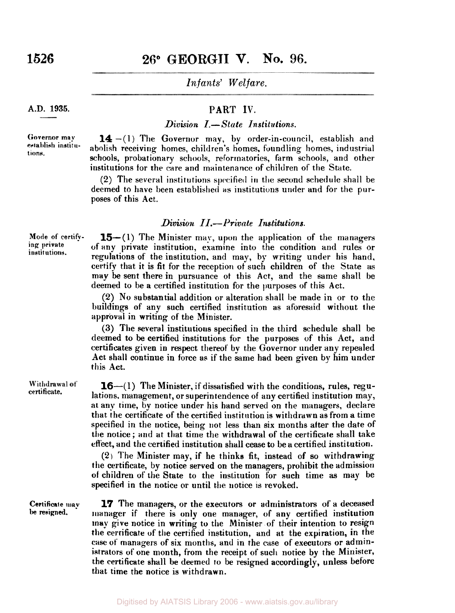**A.D. 1935.** 

**Governor may establish institu-**

**tions.** 

## 26° GEORGII V. No. 96.

*Infants' Welfare.* 

### **PART IV.**

### *Division I.-State Institutions.*

**14 -(1)** The Governor may, by order-in-council, establish and abolish receiving homes, children's homes, foundling homes, industrial schools, probationary schools, reformatories, **farm** schools, and other institutions for the Care and maintenance of children of the State.

**(2)** The several institutions spcified **in the** second schedule shall be deemed to have been established **as** institutions under and for the purposes of this Act.

#### *Division II.-Private Institutions.*

**15-(1)** The Minister may, upon the application of the managers of any private institution, examine into the condition and rules or regulations of the institution, and may, by writing under his hand, certify that it is fit for the reception of such children of the State **as**  may be sent there in pursuance **of** this Act, and the **same** shall be deemed to be a certified institution for the purposes of this Act.

**(2)** No substantial addition or alteration shall be made in or to the buildings of any such certified institution as aforesaid without the approval in writing of the Minister.

**(3)** The several institiitious specified in the third schedule shall be deemed to be certified institutions for the purposes of this Act, and certificates given in respect thereof **by** the Governor under any repealed Act shall continue in force as if the same had been given by him under this Act.

**16**—(1) The Minister, if dissatisfied with the conditions, rules, regulations. management, or superintendence of any certified institution may, **at** any time, by notice under his hand served on the managers, declare that the certificate of the certified institution is withdrawn as from **a** time specified in the notice, being not less than six months after the date of the notice ; and at that time the withdrawal of the certificate shall take effect, and the certified institution shall cease to be a certified institution.

**(2)** The Minister may, if he thinks fit, instead of so withdrawing the certificate, by notice served on the managers, prohibit the admission of children of the State to the institution for such time **as** may be specified in the notice or until the notice is revoked.

**Certificate may be resigned.** 

**17** The managers, **or** the executors or administrators **of'** a deceased manager if there is only one manager, of any certified institution may give notice in writing to the Minister of their intention to resign the certificate of the certified institution, and at the expiration, in the **case of** managers of six months, and in the case of executors or administrators of one month, from the receipt of such notice by the Minister, the certificate shall be deemed **to** be resigned accordingly, unless before that time the notice is withdrawn.

**certificate.** 

Withdrawal of

**Mode of certifying private institutions.**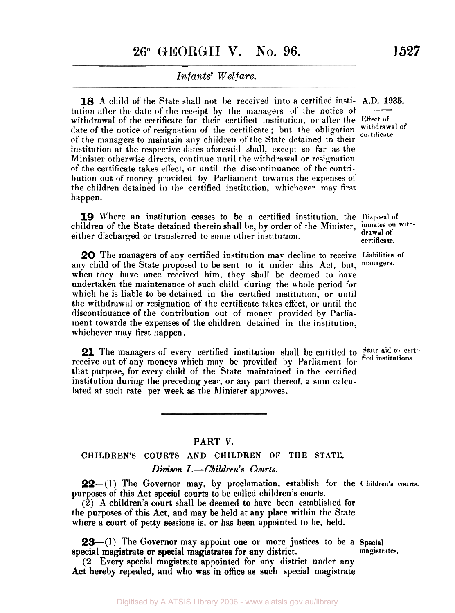**18** A child of the State shall not be received into a certified insti- A.D. 1935. <br>tution after the date of the receipt by the managers of the notice of tution after the date of the receipt by the managers of' the notice ot - withdrawal of the cer tificate for their certified institution. or after the **Effect of**  date of the notice of resignation of the certificate; but the obligation withdrawal of of the managers to maintain any children of the State detained in their institution at the respective dates aforesaid shall, except so far as the Minister otherwise directs, continue until the withdrawal or resignation of the certificate takes effect, or until the discontinuance of the contribution out of money provided by Parliament towards the expenses of the children detained in the certified institution, whichever may first. happen.

**19** Where an institution ceases to be a certified institution, the Disposal of children of the State detained therein shall be, by order of the Minister, *inmates on with-*<br>
side a disclosured as therefore details and the state of the Minister, *drawal* of either discharged or transferred to some other institution.

*20* The managers of any certified institution may decline to receive **Liabilities** of any child of the State proposed to be sent to it under this Act, but, when they have once received him, they shall be deemed to have undertaken the maintenance **or** such child during the whole period for which he is liable to be detained in the certified institution, or until the withdrawal or resignation of the certificate takes effect, or until the discontinuance of the contribution out of money provided by Parliament towards the expenses of the children detained in the institution, whichever may first happen.

21 The managers of every certified institution shall be entitled to State aid to certi-<br>receive out of any moneys which may be provided by Parliament for fied institutions. that purpose, for every child of the State maintained in the certified institution during the preceding year, or any part thereof, **a sum** calculated at such rate per week as **the** Minister approves.

#### **PART V.**

### **CHILDREN'S COURTS AND CHILDREN OF THE STATE.**

#### *Divison I.-Children's Courts.*

**22**-(1) The Governor may, by proclamation, establish for the Children's courts. purposes **of** this Act special courts to be called children's courts.

(2) **A** children's court shall be deemed to have been established for the purposes of this Act, and may **be** held at any place within the State where a court of petty sessions is, or has been appointed to be, held.

**23**—(1) The Governor may appoint one or more justices to be a Special pecial magistrates, special magistrate or special magistrates for any district.

**(2** Every special magistrate appointed for any district under any Act hereby repealed, and who **was** in office **as** such special magistrate

**certificate.**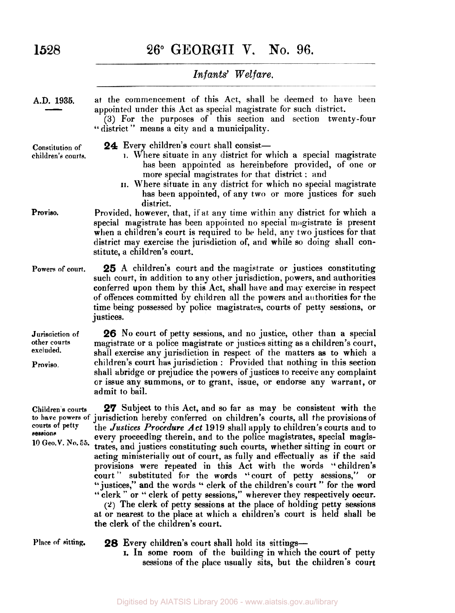## 1528

## **26° GEORGII** V. **No. 96.**

|                                                                        | Infants' Welfare.                                                                                                                                                                                                                                                                                                                                                                                                                                                                                                                                                                                                                                                                                                                                                                                                                                                                                                                                                        |
|------------------------------------------------------------------------|--------------------------------------------------------------------------------------------------------------------------------------------------------------------------------------------------------------------------------------------------------------------------------------------------------------------------------------------------------------------------------------------------------------------------------------------------------------------------------------------------------------------------------------------------------------------------------------------------------------------------------------------------------------------------------------------------------------------------------------------------------------------------------------------------------------------------------------------------------------------------------------------------------------------------------------------------------------------------|
| A.D. 1935.                                                             | at the commencement of this Act, shall be deemed to have been<br>appointed under this Act as special magistrate for such district.<br>(3) For the purposes of this section and section twenty-four<br>"district" means a city and a municipality.                                                                                                                                                                                                                                                                                                                                                                                                                                                                                                                                                                                                                                                                                                                        |
| Constitution of<br>children's courts.                                  | <b>24</b> Every children's court shall consist—<br>1. Where situate in any district for which a special magistrate<br>has been appointed as hereinbefore provided, of one or<br>more special magistrates for that district: and<br>II. Where situate in any district for which no special magistrate<br>has been appointed, of any two or more justices for such<br>district.                                                                                                                                                                                                                                                                                                                                                                                                                                                                                                                                                                                            |
| Proviso.                                                               | Provided, however, that, if at any time within any district for which a<br>special magistrate has been appointed no special magistrate is present<br>when a children's court is required to be held, any two justices for that<br>district may exercise the jurisdiction of, and while so doing shall con-<br>stitute, a children's court.                                                                                                                                                                                                                                                                                                                                                                                                                                                                                                                                                                                                                               |
| Powers of court.                                                       | <b>25</b> A children's court and the magistrate or justices constituting<br>such court, in addition to any other jurisdiction, powers, and authorities<br>conferred upon them by this Act, shall have and may exercise in respect<br>of offences committed by children all the powers and authorities for the<br>time being possessed by police magistrates, courts of petty sessions, or<br>justices.                                                                                                                                                                                                                                                                                                                                                                                                                                                                                                                                                                   |
| Jurisdiction of<br>other courts<br>excluded.<br>Proviso.               | 26 No court of petty sessions, and no justice, other than a special<br>magistrate or a police magistrate or justices sitting as a children's court,<br>shall exercise any jurisdiction in respect of the matters as to which a<br>children's court has jurisdiction : Provided that nothing in this section<br>shall abridge or prejudice the powers of justices to receive any complaint<br>or issue any summons, or to grant, issue, or endorse any warrant, or<br>admit to bail.                                                                                                                                                                                                                                                                                                                                                                                                                                                                                      |
| Children's courts<br>courts of petty<br>sessions<br>10 Geo. V. No. 55. | 27 Subject to this Act, and so far as may be consistent with the<br>to have powers of jurisdiction hereby conferred on children's courts, all the provisions of<br>the Justices Procedure Act 1919 shall apply to children's courts and to<br>every proceeding therein, and to the police magistrates, special magis-<br>trates, and justices constituting such courts, whether sitting in court or<br>acting ministerially out of court, as fully and effectually as if the said<br>provisions were repeated in this Act with the words "children's<br>court" substituted for the words "court of petty sessions," or<br>"justices," and the words " clerk of the children's court " for the word<br>"clerk" or "clerk of petty sessions," wherever they respectively occur.<br>(2) The clerk of petty sessions at the place of holding petty sessions<br>at or nearest to the place at which a children's court is held shall be<br>the clerk of the children's court. |

**Place of sitting. 28** Every children's court shall hold its sittings-

I. In some room **of** the building in which the court of petty sessions of the place usually sits, but the children's court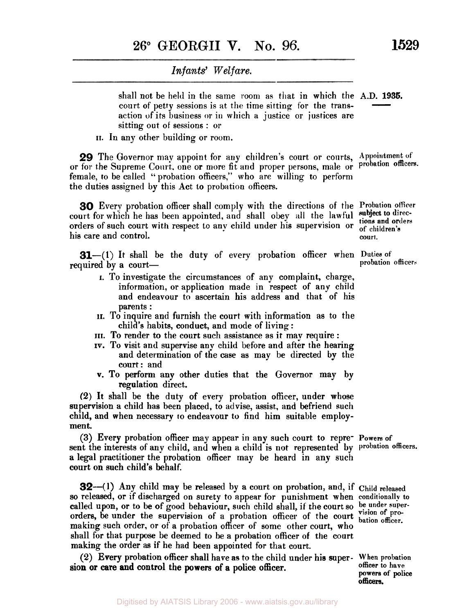shall not be held in the same room as that in which the A.D. **1935.**  court of petty sessions is at the time sitting for the transaction of its business or in which a justice or justices are sitting out of sessions : or  $\frac{1935}{\frac{1}{2}}$ 

**II. In** any other building or room.

**29** The Governor may appoint for **any** children's court or Courts, **Appointment of**  or for the Supreme Court, one or more fit and proper persons, male or probation officers. female, to be called " probation officers," who are willing to perform the duties assigned by this Act to probation officers.

**30** Every probation officer shall comply with the directions of the **Probation** officer court for which he has been appointed, and shall obey all the lawful subject to direcorders of such court with respect to any child under his supervision or **of children's**  his care and control. **court. court. court.** 

**31**-(1) It shall be the duty of every probation officer when Duties of probation officers required by a court-

- I. To investigate the circumstances of any complaint, charge, information, or application made in respect of any child and endeavour to ascertain his address and that of his parents :
- **II.** To inquire and furnish the court with information as to the child's habits, conduct, and mode of living :
- **III.** To render to the court such assistance as it may require :
- **IV.** To visit **and** supervise any child before and after the hearing and determination of the case as may be directed by the court: and
- v. To perform **any** other duties that the Governor may by regulation direct.

**(2)** It shall be the duty of every probation officer, under whose supervision a child has been placed, to advise, assist, and befriend such child, and when necessary **to** endeavour to find him suitable employment.

sent the interests of any child, and when a child is not represented **by Probation** officers. **a** legal practitioner the probation officer may be heard in any such court **on** such child's behalf. (3) Every probation officer may appear in any such court to repre- **Powers** of

**32**—(1) Any child may be released by a court on probation, and, if Child released so released, or if discharged on surety to appear for punishment when conditionally to called upon, or to be of good behaviour, such child shall, if the court so be under supercalled upon, or to be of good behaviour, such child shall, if the court so be under super-<br>
orders, be under the supervision of a probation officer of the court vision officer. making such order, or of a probation officer of some other court, who shall for that purpose be deemed to be a probation officer of the court making the order **as** if he had been appointed for that court.

**sion** or care and control the powers of a police officer. (2) Every probation officer shall have as to the child under his super- **When probation** 

**tions and orders** 

**officer to have powers of police officers.**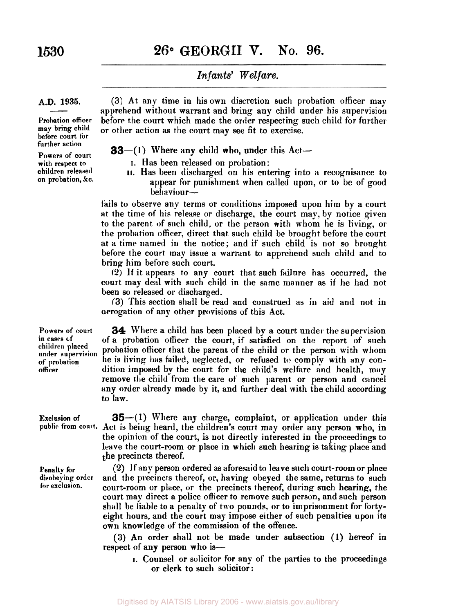## **1530 26° GEORGII V. No. 96.**

## *Infants' Welfare.*

#### **A.D. 1935.**

**A.D. 1935.**<br>——<br>Probation officer **may bring child before court for further action** 

**Powers of court children- released on probation, &c.** 

(3) At any time in his own discretion such probation officer may apprehend without warrant and bring any child under his supervision before the court which made the order respecting such child for further or other action as the court may see fit to exercise.

#### **33**—(1) Where any child who, under this  $Act-$

- with respect to **I.** Has been released on probation:
	- **11.** Has been discharged on his entering into **a** recognisance to appear for punishment when called upon, or to be of good behaviour-

fails to observe any terms or conditions imposed upon him by a court at the time of his release or discharge, the court may, by notice given to the parent of such child, or the person with whom he is living, or the probation officer, direct that **such** child be brought before the court at a time named in the notice; and if such child is not so brought before the court may issue a warrant to apprehend such child and to bring him before such court.

**(2)** If it appears to any court that such failure has occurred, the court may deal with such child in the same manner as if he had not been so released or discharged.

**(3)** This section shall be read and construed as in aid and not in aerogation of any other provisions of this Act.

**34** Where a child has been placed by a court under the supervision of a probation **officer** the court, if satisfied on the report of such probation officer that the parent of the child or the person with whom he is living **has** failed, neglected, or refused to comply with any condition imposed **by** the court for the child's welfare and health, may remove the child from the care of such parent or person and cancel any order already made by it, and further deal with the child according to law.

**Exclusion of 35**—(1) Where any charge, complaint, or application under this public from court. Act is being heard, the children's court may order any person who, in Act is being heard, the children's court may order any person who, in the opinion of the court, is not directly interested in the proceedings to leave the court-room or place in which such hearing is taking place and the precincts thereof.

**Penalty for (2)** If any person ordered as aforesaid to leave such court-room or place disobeying order and the precincts thereof, or, having obeyed the same, returns to such<br>for exclusion. court-room or place, or the precincts thereof during such hearing the **for example 20 for exclusion** *court-room* or place, or the precincts thereof, during such hearing, the court may direct a police officer to remove such person, and such person shall be liable to a penalty of two pounds, or to imprisonment for fortyeight hours, and the court may impose either of such penalties upon its own knowledge of the commission of the offence.

> (3) An order shall not be made under subsection **(1)** hereof in respect of any person who is-

I. Counsel or solicitor for any of the parties to the proceedings or clerk **to** such solicitor:

**Powers of court in cases of under supervision of probation officer placed**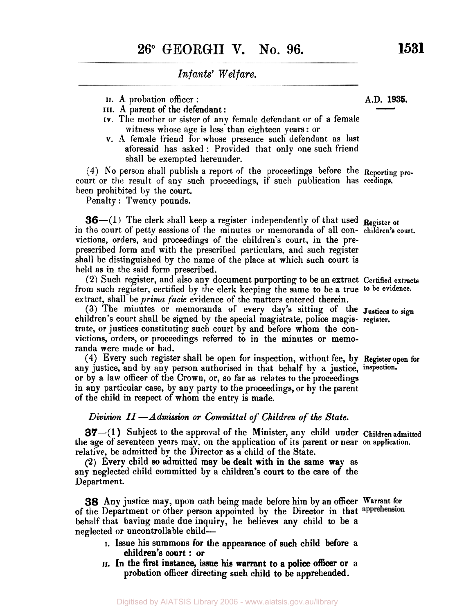- 
- II. A probation officer :<br>III. A parent of the defendant :
- IV. The mother or sister of any female defendant or of a female witness whose age is less than eighteen years : or Infants' Welfare.<br>
I. A probation officer :<br>
III. A parent of the defendant :<br>
IV. The mother or sister of any female defendant or of a female
- v. A female friend for whose presence such defendant as last aforesaid has asked : Provided that only one such friend shall be exempted hereunder.

**(4)** No person shall publish a report of the proceedings before the **Reporting** procourt or the result of any such proceedings, if such publication has ceedings, been prohibited by the court.

Penalty : Twenty pounds.

**36**- $(1)$  The clerk shall keep a register independently of that used Register of in the court of petty sessions of the minutes or memoranda of all con- children's court. victions, orders, and proceedings of the children's court, in the preprescribed form and with the Prescribed particulars, and such register shall be distinguished by the name of the place at which such court is held as in the said form prescribed.

from such register, certified by the clerk keeping the same to be **a** true **to be evidence.**  extract, shall be *prima facie* evidence of the matters entered therein. **(2)** Such register, and also any document purporting to be an extract **Certified extracts** 

(3) The minutes or memoranda of every day's sitting of the Justices to sign children's court shall be signed by the special magistrate, police magis- **register.**  trate, or justices constituting such court by and before whom the convictions, orders, or proceedings referred to in the minutes or memoranda were made or had.

any justice, and by any person authorised in that behalf by a justice, **inspection.**  or by a law officer of the Crown, or, so far as relates to the proceedings in any particular case, by any party to the proceedings, or by the parent of the child in respect of whom the entry is made. **(4)** Every such register shall be open for inspection, without fee, by **Regieter open for** 

#### *Division II -Admission or Committal of Children of the State.*

**37**-(1) Subject to the approval of the Minister, any child under Children admitted the age of seventeen years may, on the application of its parent or near on application. relative, be admitted by the Director as a child of the State.

(2) Every child so admitted may be dealt with in the same way as any neglected child committed by a children's court to the care of the Department.

**38** Any justice may, upon oath being made before him by an officer **Warrant** for of the Department or other person appointed by the Director in that apprehension behalf that having made due inquiry, he believes any child to be **a**  neglected **or** uncontrollable child-

- I. Issue his summons for the appearance of such child before a children's court : or
- **II.** In the first instance, issue his warrant to a police officer or a probation officer directing such child **to** be apprehended.

**AD. 1935.**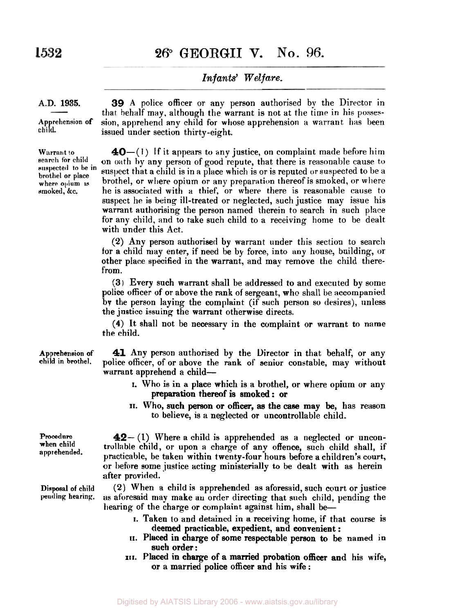**26° GEORGII V. No. 96.** 

## *Infants' Welfare.*

### **A.D. 1935.**

**Ap** rehension of  $\boldsymbol{\epsilon}$ hild.

Warrant **to**  search for child suspected **to** be in brothel or place where opium **IS**  smoked, &c.

**39** A police officer or any person authorised by the Director in that behalf may, although the warrant is not at the time in his possession, apprehend any child for whose apprehension a warrant has been issued under section thirty-eight.

**40**-(1) If it appears to any justice, on complaint made before him on oath by any person of good repute, that there is reasonable cause to suspect that a child is in a place which is or is reputed or suspected to be a brothel, or where opium or any preparation thereof is smoked, or where he is associated with a thief, or where there is reasonable cause to suspect he is being ill-treated or neglected, such justice may issue his warrant authorising the person named therein to search in such place for any child, and to take such child to a receiving home to be dealt with under this Act.

**(2)** Any person authorised by warrant under this section to search for a child may enter, if need be by force, into any house, building, or other place specified in the warrant, and may remove the child therefrom.

**(3)** Every such warrant shall be addressed to and executed by some police officer of or above the rank of sergeant, who shall be accompanied by the person laying the complaint (if such person so desires), **unless**  the justice issuing the warrant otherwise directs.

**(4)** It shall not be necessary in the complaint or warrant to name the child.

Apprehension of **41** Any person authorised by the Director in that behalf, or any police officer, of or above the **rank** of senior constable, may without warrant apprehend a child-

- **I.** Who is in a place which is a brothel, or where opium or any preparation thereof is smoked : or
- **II.** Who, such person or officer, as the case may be, has reason to believe, is a neglected or uncontrollable child.

**42-** (1) Where a child is apprehended as a neglected or uncontrollable child, or upon **a** charge of any offence, such child shall, if practicable, be taken within twenty-four hours before a children's court, or before some justice acting ministerially to be dealt with as herein after provided.

**(2)** When a child is apprehended as aforesaid, such court or justice **as** aforesaid may make **an** order directing that such child, pending the hearing of the charge or complaint against him, shall be-

- **I.** Taken **to** and detained in a receiving home, if that course is deemed practicable, expedient, and convenient :
- **II.** Placed in charge of some respectable person to be named in such order:
- **III.** Placed in charge of a married probation officer and his wife, or a married police officer and his wife :

child in brothel.

Procedure when child apprehended.

Disposal of child pending hearing.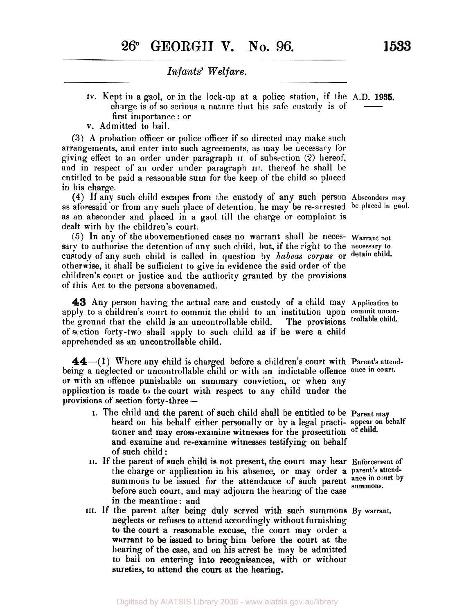- **IV.** Kept in a gaol, or in the lock-up at a police station, if the **A.D. 1935.**  charge is of so serious a nature that his safe custody is of first importance : or  $\frac{1935}{\frac{1}{2}}$
- v. Admitted to bail.

(3) A probation officer or police officer if so directed may make such arrangements, and enter into such agreements, as may be necessary for giving effect to an order under paragraph **II** of subsection **(2)** hereof, and in respect of an order under paragraph **III.** thereof he shall be entitled to be paid a reasonable sum for the keep of the child **so** placed in his charge.

as aforesaid or from any such place of detention, he may be re-arrested be **placed in gaol.**  as an absconder and placed in a gaol till the charge or complaint is dealt with by the children's court.. **(4)** If any such child escapes from the custody of any such person **Absconders may** 

(5) In any of the abovementioned cases no warrant shall be neces- **Warrant not**  sary to authorise the detention of any such child, but, if **the** right to the **necessary** to custody of any such child is called in question by habeas corpus or detain child. otherwise, it shall be sufficient to give in evidence the said order of the children's court or justice and the authority granted by the provisions of this Act to the persons abovenamed.

**43** Any person having the actual care and custody of a child may **Application** to apply to a children's court to commit the child to an institution upon **commit uncon**the ground that the child is an uncontrollable child. of section forty-two shall apply to such child as if he were a child apprehended as an uncontrollable child. The provisions trollable child.

**44**—(1) Where any child is charged before a children's court with Parent's attendbeing a neglected or uncontrollable child or with an indictable offence ance in court. or with an offence punishable on summary conviction, or when any application is made to the court with respect to any child under the provisions of section forty-three --

- **1.** The child and the parent of such child Shall be entitled to be **Parent may**  heard on his behalf either personally or by a legal practi- **appear on behalf**  tioner and may cross-examine witnesses for the prosecution of child. and examine and re-examine witnesses testifying on behalf of such child :
- **II.** If the parent of such child is not present, the court may hear **Enforcement** of the charge or application in his absence, or may order **a parent's attend**summons to be issued for the attendance of such parent ance in court by before one heaven and man adjacent that he is a full parent summons. before such court, and may adjourn the hearing of the case in the meantime: and
- neglects or refuses to attend accordingly without furnishing **to** the court a reasonable excuse, the court may order a warrant to be issued to bring him before the court at the hearing of the case, and on his arrest he may be admitted to bail on entering into recognisances, with or without sureties, to attend the court at the hearing. **III.** If the parent after being duly served with such summons By warrant.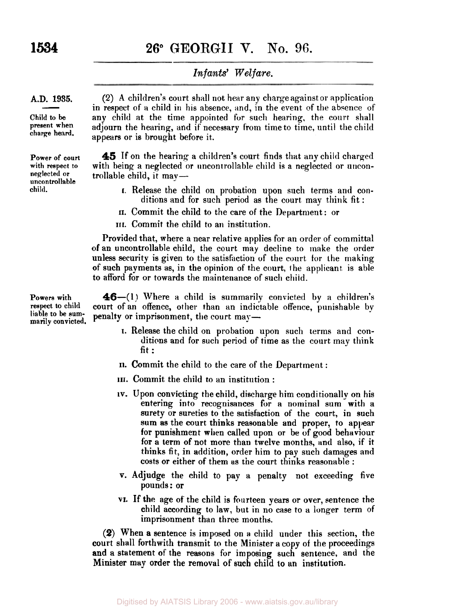# **1534 26° GEORGII V. No.** 96.

## *Infants' Welfare.*

#### **A.D. 1935.**

**Child to be present when charge heard.** 

**Power of court with respect to neglected or uncontrollable child.** 

 $\begin{array}{c} \begin{array}{c} \hline \text{.} & \text{1935.} \\ \hline \text{.} & \text{in } \text{re} \\ \text{0 to be} \\ \hline \end{array} \end{array}$ (2) A children's court shall not hear any charge against or application in respect of a child in his absence, **and,** in the event of the absence of any child at the time appointed for such hearing, the court shall adjourn the hearing, and if necessary from time to time, until the child appears or is brought before it.

> **45** If on the hearing a children's court finds that any child charged with being a neglected or uncontrollable child is a neglected or uncontrollable child, it may—

- **I.** Release the child on probation upon such terms anti conditions and for such period as the court may think fit :
- **II.** Commit the child to the care of the Department: or
- **III.** Commit the child to an institution.

Provided that, where a near relative applies for an order of committal of an uncontrollable child, the court may decline to make the order unless security is given to the satisfiction of the court tor the making of such payments **as,** in the opinion of the court, **t** he applicant is able to afford for or towards the maintenance of such child.

**Powers with respect to child liable to be summarily convicted.** 

**46-(1]** Where a child is summarily convicted by **a** children's court of an offence, other than an indictable offence, punishable by penalty or imprisonment, the court may-

- I. Release the child on probation upon such terms and conditions and for such period of time as the court may think fit :
- **II.** Commit the child to the care of the Department :
- **III.** Commit the child to an institution :
- IV. Upon convicting the child, discharge him conditionally on his entering into recognisances for **a** nominal sum with a surety or sureties to the satisfaction of the court, in such sum **as** the court thinks reasonable and proper, to appear for punishment when called upon or be of good behaviour for a term of not more than twelve months, and also, if it thinks fit, in addition, order him to pay such damages and costs or either of them as the court thinks reasonable :
- V. Adjudge the child to pay a penalty not exceeding five pounds: or
- **VI.** If the age of the child is fourteen years or over, sentence the child according to law, but in no case to a longer term of imprisonment than three months.

**(2)** When **a** sentence is imposed on *a* child under this section, the court shall forthwith transmit to the Minister a copy of the proceedings and a statement of the reasons for imposing such sentence, and the Minister may order the removal of such child **to** an institution.